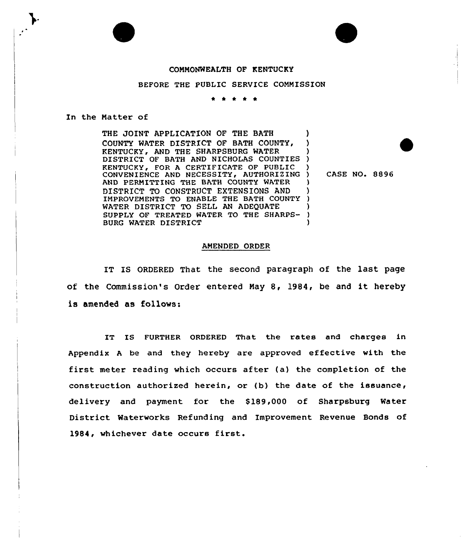## COMMONWEALTH OF KENTUCKY

BEFORE THE PUBLIC SERVICE COMMISSION

\* \* \* \*

## In the Matter of

THE JOINT APPLICATION OF THE BATH COUNTY WATER DISTRICT OF BATH COUNTY, KENTUCKY, AND THE SHARPSBURG WATER DISTRICT OF BATH AND NICHOLAS COUNTIES KENTUCKY, FOR A CERTIFICATE OF PUBLIC CONVENIENCE AND NECESSITY, AUTHORIZING ) AND PERMITTING THE BATH COUNTY WATER DISTRICT TO CONSTRUCT EXTENSIONS AND IMPROVEMENTS TO ENABLE THE BATH COUNTY WATER DISTRICT TO SELL AN ADEQUATE SUPPLY OF TREATED WATER TO THE SHARPS-BURG WATER DISTRICT ) ) ) ) ) ) ) ) ) ) )

) CASE NO. 8896

## AMENDED ORDER

IT IS ORDERED That the second paragraph of the last page of the Commission's Order entered May 8, l984, be and it hereby is amended as follows:

IT IS FURTHER ORDERED That the rates and charges in Appendix <sup>A</sup> be and they hereby are approved effective with the first meter reading which occurs after (a) the completion of the construction authorized herein, or (b) the date of the issuance, delivery and payment for the \$ 189,000 of Sharpsburg Water District Waterworks Refunding and Improvement Revenue Bonds of 1984, whichever date occurs first.